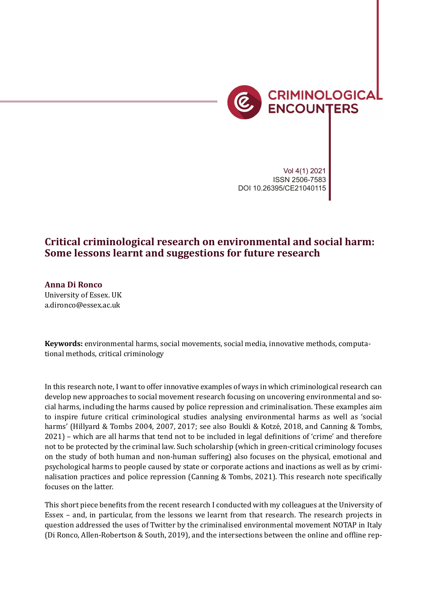

Vol 4(1) 2021 ISSN 2506-7583 DOI 10.26395/CE21040115

## **Critical criminological research on environmental and social harm: Some lessons learnt and suggestions for future research**

**Anna Di Ronco** University of Essex. UK a.dironco@essex.ac.uk

**Keywords:** environmental harms, social movements, social media, innovative methods, computational methods, critical criminology

In this research note, I want to offer innovative examples of ways in which criminological research can develop new approaches to social movement research focusing on uncovering environmental and social harms, including the harms caused by police repression and criminalisation. These examples aim to inspire future critical criminological studies analysing environmental harms as well as 'social harms' (Hillyard & Tombs 2004, 2007, 2017; see also Boukli & Kotzé, 2018, and Canning & Tombs, 2021) – which are all harms that tend not to be included in legal de�initions of 'crime' and therefore not to be protected by the criminal law. Such scholarship (which in green-critical criminology focuses on the study of both human and non-human suffering) also focuses on the physical, emotional and psychological harms to people caused by state or corporate actions and inactions as well as by criminalisation practices and police repression (Canning & Tombs, 2021). This research note specifically focuses on the latter.

This short piece benefits from the recent research I conducted with my colleagues at the University of Essex – and, in particular, from the lessons we learnt from that research. The research projects in question addressed the uses of Twitter by the criminalised environmental movement NOTAP in Italy (Di Ronco, Allen-Robertson & South, 2019), and the intersections between the online and offline rep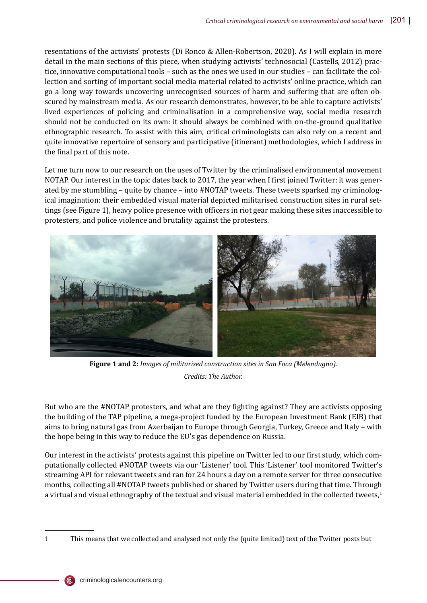resentations of the activists' protests (Di Ronco & Allen-Robertson, 2020). As I will explain in more detail in the main sections of this piece, when studying activists' technosocial (Castells, 2012) practice, innovative computational tools – such as the ones we used in our studies – can facilitate the collection and sorting of important social media material related to activists' online practice, which can go a long way towards uncovering unrecognised sources of harm and suffering that are often obscured by mainstream media. As our research demonstrates, however, to be able to capture activists' lived experiences of policing and criminalisation in a comprehensive way, social media research should not be conducted on its own: it should always be combined with on-the-ground qualitative ethnographic research. To assist with this aim, critical criminologists can also rely on a recent and quite innovative repertoire of sensory and participative (itinerant) methodologies, which I address in the final part of this note.

Let me turn now to our research on the uses of Twitter by the criminalised environmental movement NOTAP. Our interest in the topic dates back to 2017, the year when I first joined Twitter: it was generated by me stumbling – quite by chance – into #NOTAP tweets. These tweets sparked my criminological imagination: their embedded visual material depicted militarised construction sites in rural settings (see Figure 1), heavy police presence with officers in riot gear making these sites inaccessible to protesters, and police violence and brutality against the protesters.



**Figure 1 and 2:** *Images of militarised construction sites in San Foca (Melendugno). Credits: The Author.*

But who are the #NOTAP protesters, and what are they fighting against? They are activists opposing the building of the TAP pipeline, a mega-project funded by the European Investment Bank (EIB) that aims to bring natural gas from Azerbaijan to Europe through Georgia, Turkey, Greece and Italy – with the hope being in this way to reduce the EU's gas dependence on Russia.

Our interest in the activists' protests against this pipeline on Twitter led to our first study, which computationally collected #NOTAP tweets via our 'Listener' tool. This 'Listener' tool monitored Twitter's streaming API for relevant tweets and ran for 24 hours a day on a remote server for three consecutive months, collecting all #NOTAP tweets published or shared by Twitter users during that time. Through a virtual and visual ethnography of the textual and visual material embedded in the collected tweets,<sup>1</sup>

<sup>1</sup> This means that we collected and analysed not only the (quite limited) text of the Twitter posts but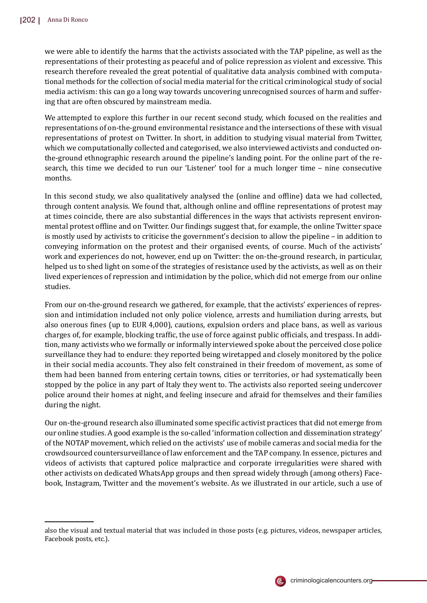we were able to identify the harms that the activists associated with the TAP pipeline, as well as the representations of their protesting as peaceful and of police repression as violent and excessive. This research therefore revealed the great potential of qualitative data analysis combined with computational methods for the collection of social media material for the critical criminological study of social media activism: this can go a long way towards uncovering unrecognised sources of harm and suffering that are often obscured by mainstream media.

We attempted to explore this further in our recent second study, which focused on the realities and representations of on-the-ground environmental resistance and the intersections of these with visual representations of protest on Twitter. In short, in addition to studying visual material from Twitter, which we computationally collected and categorised, we also interviewed activists and conducted onthe-ground ethnographic research around the pipeline's landing point. For the online part of the research, this time we decided to run our 'Listener' tool for a much longer time – nine consecutive months.

In this second study, we also qualitatively analysed the (online and offline) data we had collected, through content analysis. We found that, although online and offline representations of protest may at times coincide, there are also substantial differences in the ways that activists represent environmental protest offline and on Twitter. Our findings suggest that, for example, the online Twitter space is mostly used by activists to criticise the government's decision to allow the pipeline – in addition to conveying information on the protest and their organised events, of course. Much of the activists' work and experiences do not, however, end up on Twitter: the on-the-ground research, in particular, helped us to shed light on some of the strategies of resistance used by the activists, as well as on their lived experiences of repression and intimidation by the police, which did not emerge from our online studies.

From our on-the-ground research we gathered, for example, that the activists' experiences of repression and intimidation included not only police violence, arrests and humiliation during arrests, but also onerous fines (up to EUR 4,000), cautions, expulsion orders and place bans, as well as various charges of, for example, blocking traffic, the use of force against public officials, and trespass. In addition, many activists who we formally or informally interviewed spoke about the perceived close police surveillance they had to endure: they reported being wiretapped and closely monitored by the police in their social media accounts. They also felt constrained in their freedom of movement, as some of them had been banned from entering certain towns, cities or territories, or had systematically been stopped by the police in any part of Italy they went to. The activists also reported seeing undercover police around their homes at night, and feeling insecure and afraid for themselves and their families during the night.

Our on-the-ground research also illuminated some speci�ic activist practices that did not emerge from our online studies. A good example is the so-called 'information collection and dissemination strategy' of the NOTAP movement, which relied on the activists' use of mobile cameras and social media for the crowdsourced countersurveillance of law enforcement and the TAP company. In essence, pictures and videos of activists that captured police malpractice and corporate irregularities were shared with other activists on dedicated WhatsApp groups and then spread widely through (among others) Facebook, Instagram, Twitter and the movement's website. As we illustrated in our article, such a use of



also the visual and textual material that was included in those posts (e.g. pictures, videos, newspaper articles, Facebook posts, etc.).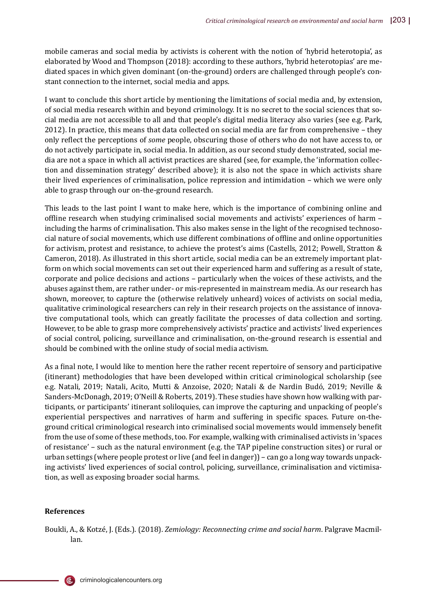mobile cameras and social media by activists is coherent with the notion of 'hybrid heterotopia', as elaborated by Wood and Thompson (2018): according to these authors, 'hybrid heterotopias' are mediated spaces in which given dominant (on-the-ground) orders are challenged through people's constant connection to the internet, social media and apps.

I want to conclude this short article by mentioning the limitations of social media and, by extension, of social media research within and beyond criminology. It is no secret to the social sciences that social media are not accessible to all and that people's digital media literacy also varies (see e.g. Park, 2012). In practice, this means that data collected on social media are far from comprehensive – they only re�lect the perceptions of *some* people, obscuring those of others who do not have access to, or do not actively participate in, social media. In addition, as our second study demonstrated, social media are not a space in which all activist practices are shared (see, for example, the 'information collection and dissemination strategy' described above); it is also not the space in which activists share their lived experiences of criminalisation, police repression and intimidation – which we were only able to grasp through our on-the-ground research.

This leads to the last point I want to make here, which is the importance of combining online and offline research when studying criminalised social movements and activists' experiences of harm – including the harms of criminalisation. This also makes sense in the light of the recognised technosocial nature of social movements, which use different combinations of offline and online opportunities for activism, protest and resistance, to achieve the protest's aims (Castells, 2012; Powell, Stratton & Cameron, 2018). As illustrated in this short article, social media can be an extremely important platform on which social movements can set out their experienced harm and suffering as a result of state, corporate and police decisions and actions – particularly when the voices of these activists, and the abuses against them, are rather under- or mis-represented in mainstream media. As our research has shown, moreover, to capture the (otherwise relatively unheard) voices of activists on social media, qualitative criminological researchers can rely in their research projects on the assistance of innovative computational tools, which can greatly facilitate the processes of data collection and sorting. However, to be able to grasp more comprehensively activists' practice and activists' lived experiences of social control, policing, surveillance and criminalisation, on-the-ground research is essential and should be combined with the online study of social media activism.

As a final note, I would like to mention here the rather recent repertoire of sensory and participative (itinerant) methodologies that have been developed within critical criminological scholarship (see e.g. Natali, 2019; Natali, Acito, Mutti & Anzoise, 2020; Natali & de Nardin Budó , 2019; Neville & Sanders-McDonagh, 2019; O'Neill & Roberts, 2019). These studies have shown how walking with participants, or participants' itinerant soliloquies, can improve the capturing and unpacking of people's experiential perspectives and narratives of harm and suffering in specific spaces. Future on-theground critical criminological research into criminalised social movements would immensely bene�it from the use of some of these methods, too. For example, walking with criminalised activists in 'spaces of resistance' – such as the natural environment (e.g. the TAP pipeline construction sites) or rural or urban settings (where people protest or live (and feel in danger)) – can go a long way towards unpacking activists' lived experiences of social control, policing, surveillance, criminalisation and victimisation, as well as exposing broader social harms.

## **References**

l le

Boukli, A., & Kotzé, J. (Eds.). (2018). *Zemiology: Reconnecting crime and social harm*. Palgrave Macmillan.

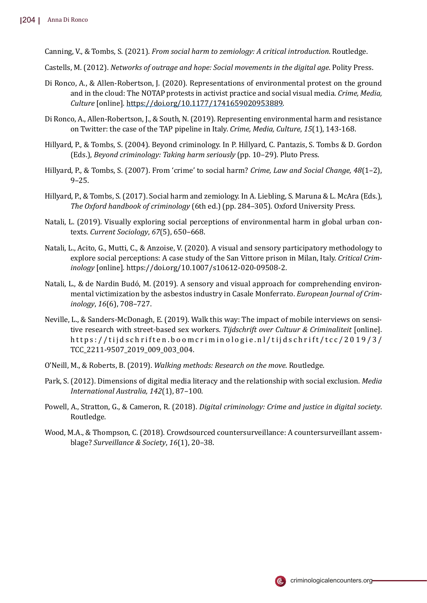Canning, V., & Tombs, S. (2021). *From social harm to zemiology: A critical introduction*. Routledge.

- Castells, M. (2012). *Networks of outrage and hope: Social movements in the digital age*. Polity Press.
- Di Ronco, A., & Allen-Robertson, J. (2020). Representations of environmental protest on the ground and in the cloud: The NOTAP protests in activist practice and social visual media. *Crime, Media, Culture* [online]. https://doi.org/10.1177/1741659020953889.
- Di Ronco, A., Allen-Robertson, J., & South, N. (2019). Representing environmental harm and resistance on Twitter: the case of the TAP pipeline in Italy. *Crime, Media, Culture*, *15*(1), 143-168.
- Hillyard, P., & Tombs, S. (2004). Beyond criminology. In P. Hillyard, C. Pantazis, S. Tombs & D. Gordon (Eds.), *Beyond criminology: Taking harm seriously* (pp. 10–29). Pluto Press.
- Hillyard, P., & Tombs, S. (2007). From 'crime' to social harm? *Crime, Law and Social Change, 48*(1–2), 9–25.
- Hillyard, P., & Tombs, S. (2017). Social harm and zemiology. In A. Liebling, S. Maruna & L. McAra (Eds.), *The Oxford handbook of criminology* (6th ed.) (pp. 284–305). Oxford University Press.
- Natali, L. (2019). Visually exploring social perceptions of environmental harm in global urban contexts. *Current Sociology*, *67*(5), 650–668.
- Natali, L., Acito, G., Mutti, C., & Anzoise, V. (2020). A visual and sensory participatory methodology to explore social perceptions: A case study of the San Vittore prison in Milan, Italy. *Critical Criminology* [online]. https://doi.org/10.1007/s10612-020-09508-2.
- Natali, L., & de Nardin Budó, M. (2019). A sensory and visual approach for comprehending environmental victimization by the asbestos industry in Casale Monferrato. *European Journal of Criminology*, *16*(6), 708–727.
- Neville, L., & Sanders-McDonagh, E. (2019). Walk this way: The impact of mobile interviews on sensitive research with street-based sex workers. *Tijdschrift over Cultuur & Criminaliteit* [online]. https://tijdschriften.boomcriminologie.nl/tijdschrift/tcc/2019/3/ TCC\_2211-9507\_2019\_009\_003\_004.
- O'Neill, M., & Roberts, B. (2019). *Walking methods: Research on the move*. Routledge.
- Park, S. (2012). Dimensions of digital media literacy and the relationship with social exclusion. *Media International Australia, 142*(1), 87–100.
- Powell, A., Stratton, G., & Cameron, R. (2018). *Digital criminology: Crime and justice in digital society*. Routledge.
- Wood, M.A., & Thompson, C. (2018). Crowdsourced countersurveillance: A countersurveillant assemblage? *Surveillance & Society*, *16*(1), 20–38.